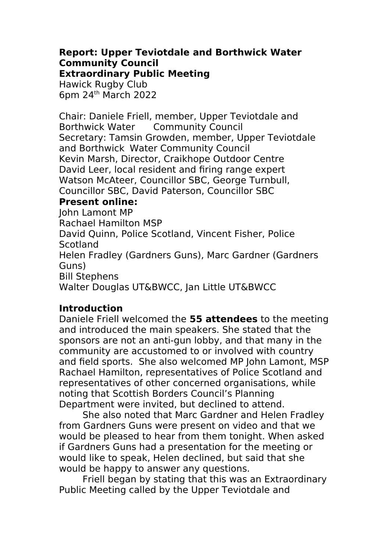# **Report: Upper Teviotdale and Borthwick Water Community Council**

**Extraordinary Public Meeting**

Hawick Rugby Club 6pm 24th March 2022

Chair: Daniele Friell, member, Upper Teviotdale and Borthwick Water Community Council Secretary: Tamsin Growden, member, Upper Teviotdale and Borthwick Water Community Council Kevin Marsh, Director, Craikhope Outdoor Centre David Leer, local resident and firing range expert Watson McAteer, Councillor SBC, George Turnbull, Councillor SBC, David Paterson, Councillor SBC

# **Present online:**

John Lamont MP Rachael Hamilton MSP David Quinn, Police Scotland, Vincent Fisher, Police **Scotland** Helen Fradley (Gardners Guns), Marc Gardner (Gardners Guns) Bill Stephens Walter Douglas UT&BWCC, Jan Little UT&BWCC

# **Introduction**

Daniele Friell welcomed the **55 attendees** to the meeting and introduced the main speakers. She stated that the sponsors are not an anti-gun lobby, and that many in the community are accustomed to or involved with country and field sports. She also welcomed MP John Lamont, MSP Rachael Hamilton, representatives of Police Scotland and representatives of other concerned organisations, while noting that Scottish Borders Council's Planning Department were invited, but declined to attend.

She also noted that Marc Gardner and Helen Fradley from Gardners Guns were present on video and that we would be pleased to hear from them tonight. When asked if Gardners Guns had a presentation for the meeting or would like to speak, Helen declined, but said that she would be happy to answer any questions.

Friell began by stating that this was an Extraordinary Public Meeting called by the Upper Teviotdale and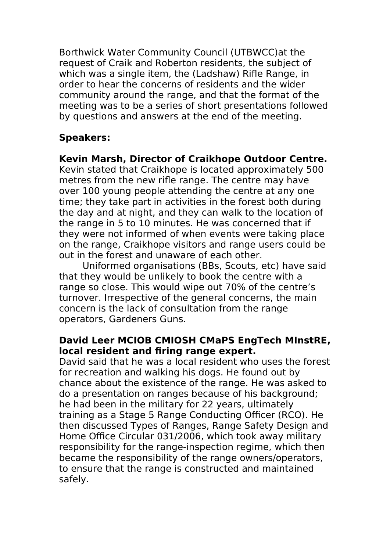Borthwick Water Community Council (UTBWCC)at the request of Craik and Roberton residents, the subject of which was a single item, the (Ladshaw) Rifle Range, in order to hear the concerns of residents and the wider community around the range, and that the format of the meeting was to be a series of short presentations followed by questions and answers at the end of the meeting.

# **Speakers:**

**Kevin Marsh, Director of Craikhope Outdoor Centre.**

Kevin stated that Craikhope is located approximately 500 metres from the new rifle range. The centre may have over 100 young people attending the centre at any one time; they take part in activities in the forest both during the day and at night, and they can walk to the location of the range in 5 to 10 minutes. He was concerned that if they were not informed of when events were taking place on the range, Craikhope visitors and range users could be out in the forest and unaware of each other.

Uniformed organisations (BBs, Scouts, etc) have said that they would be unlikely to book the centre with a range so close. This would wipe out 70% of the centre's turnover. Irrespective of the general concerns, the main concern is the lack of consultation from the range operators, Gardeners Guns.

### **David Leer MCIOB CMIOSH CMaPS EngTech MInstRE, local resident and firing range expert.**

David said that he was a local resident who uses the forest for recreation and walking his dogs. He found out by chance about the existence of the range. He was asked to do a presentation on ranges because of his background; he had been in the military for 22 years, ultimately training as a Stage 5 Range Conducting Officer (RCO). He then discussed Types of Ranges, Range Safety Design and Home Office Circular 031/2006, which took away military responsibility for the range-inspection regime, which then became the responsibility of the range owners/operators, to ensure that the range is constructed and maintained safely.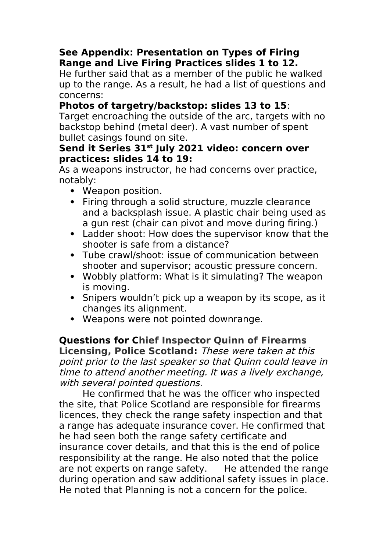### **See Appendix: Presentation on Types of Firing Range and Live Firing Practices slides 1 to 12.**

He further said that as a member of the public he walked up to the range. As a result, he had a list of questions and concerns:

# **Photos of targetry/backstop: slides 13 to 15**:

Target encroaching the outside of the arc, targets with no backstop behind (metal deer). A vast number of spent bullet casings found on site.

#### **Send it Series 31st July 2021 video: concern over practices: slides 14 to 19:**

As a weapons instructor, he had concerns over practice, notably:

- Weapon position.
- Firing through a solid structure, muzzle clearance and a backsplash issue. A plastic chair being used as a gun rest (chair can pivot and move during firing.)
- Ladder shoot: How does the supervisor know that the shooter is safe from a distance?
- Tube crawl/shoot: issue of communication between shooter and supervisor; acoustic pressure concern.
- Wobbly platform: What is it simulating? The weapon is moving.
- Snipers wouldn't pick up a weapon by its scope, as it changes its alignment.
- Weapons were not pointed downrange.

**Questions for Chief Inspector Quinn of Firearms Licensing, Police Scotland:** These were taken at this point prior to the last speaker so that Quinn could leave in time to attend another meeting. It was a lively exchange, with several pointed questions.

He confirmed that he was the officer who inspected the site, that Police Scotland are responsible for firearms licences, they check the range safety inspection and that a range has adequate insurance cover. He confirmed that he had seen both the range safety certificate and insurance cover details, and that this is the end of police responsibility at the range. He also noted that the police are not experts on range safety. He attended the range during operation and saw additional safety issues in place. He noted that Planning is not a concern for the police.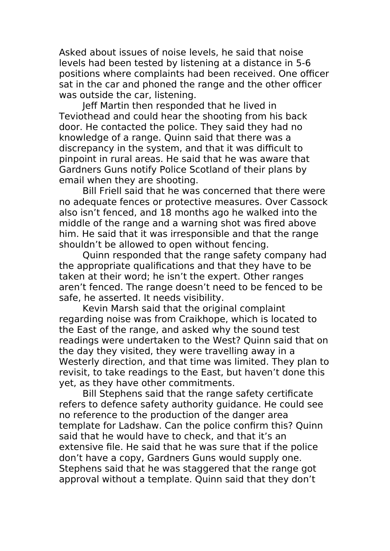Asked about issues of noise levels, he said that noise levels had been tested by listening at a distance in 5-6 positions where complaints had been received. One officer sat in the car and phoned the range and the other officer was outside the car, listening.

Jeff Martin then responded that he lived in Teviothead and could hear the shooting from his back door. He contacted the police. They said they had no knowledge of a range. Quinn said that there was a discrepancy in the system, and that it was difficult to pinpoint in rural areas. He said that he was aware that Gardners Guns notify Police Scotland of their plans by email when they are shooting.

Bill Friell said that he was concerned that there were no adequate fences or protective measures. Over Cassock also isn't fenced, and 18 months ago he walked into the middle of the range and a warning shot was fired above him. He said that it was irresponsible and that the range shouldn't be allowed to open without fencing.

Quinn responded that the range safety company had the appropriate qualifications and that they have to be taken at their word; he isn't the expert. Other ranges aren't fenced. The range doesn't need to be fenced to be safe, he asserted. It needs visibility.

Kevin Marsh said that the original complaint regarding noise was from Craikhope, which is located to the East of the range, and asked why the sound test readings were undertaken to the West? Quinn said that on the day they visited, they were travelling away in a Westerly direction, and that time was limited. They plan to revisit, to take readings to the East, but haven't done this yet, as they have other commitments.

Bill Stephens said that the range safety certificate refers to defence safety authority guidance. He could see no reference to the production of the danger area template for Ladshaw. Can the police confirm this? Quinn said that he would have to check, and that it's an extensive file. He said that he was sure that if the police don't have a copy, Gardners Guns would supply one. Stephens said that he was staggered that the range got approval without a template. Quinn said that they don't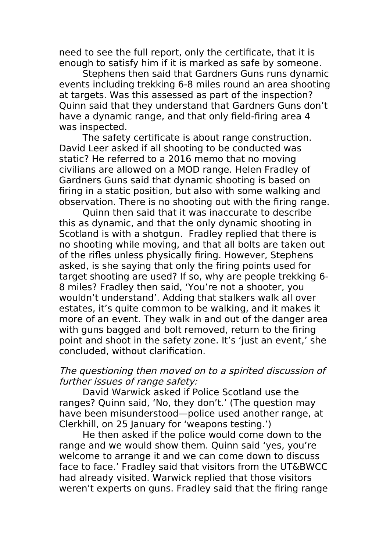need to see the full report, only the certificate, that it is enough to satisfy him if it is marked as safe by someone.

Stephens then said that Gardners Guns runs dynamic events including trekking 6-8 miles round an area shooting at targets. Was this assessed as part of the inspection? Quinn said that they understand that Gardners Guns don't have a dynamic range, and that only field-firing area 4 was inspected.

The safety certificate is about range construction. David Leer asked if all shooting to be conducted was static? He referred to a 2016 memo that no moving civilians are allowed on a MOD range. Helen Fradley of Gardners Guns said that dynamic shooting is based on firing in a static position, but also with some walking and observation. There is no shooting out with the firing range.

Quinn then said that it was inaccurate to describe this as dynamic, and that the only dynamic shooting in Scotland is with a shotgun. Fradley replied that there is no shooting while moving, and that all bolts are taken out of the rifles unless physically firing. However, Stephens asked, is she saying that only the firing points used for target shooting are used? If so, why are people trekking 6- 8 miles? Fradley then said, 'You're not a shooter, you wouldn't understand'. Adding that stalkers walk all over estates, it's quite common to be walking, and it makes it more of an event. They walk in and out of the danger area with guns bagged and bolt removed, return to the firing point and shoot in the safety zone. It's 'just an event,' she concluded, without clarification.

#### The questioning then moved on to a spirited discussion of further issues of range safety:

David Warwick asked if Police Scotland use the ranges? Quinn said, 'No, they don't.' (The question may have been misunderstood—police used another range, at Clerkhill, on 25 January for 'weapons testing.')

He then asked if the police would come down to the range and we would show them. Quinn said 'yes, you're welcome to arrange it and we can come down to discuss face to face.' Fradley said that visitors from the UT&BWCC had already visited. Warwick replied that those visitors weren't experts on guns. Fradley said that the firing range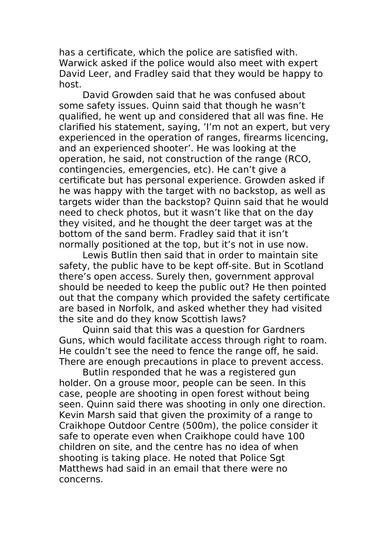has a certificate, which the police are satisfied with. Warwick asked if the police would also meet with expert David Leer, and Fradley said that they would be happy to host.

David Growden said that he was confused about some safety issues. Quinn said that though he wasn't qualified, he went up and considered that all was fine. He clarified his statement, saying, 'I'm not an expert, but very experienced in the operation of ranges, firearms licencing, and an experienced shooter'. He was looking at the operation, he said, not construction of the range (RCO, contingencies, emergencies, etc). He can't give a certificate but has personal experience. Growden asked if he was happy with the target with no backstop, as well as targets wider than the backstop? Quinn said that he would need to check photos, but it wasn't like that on the day they visited, and he thought the deer target was at the bottom of the sand berm. Fradley said that it isn't normally positioned at the top, but it's not in use now.

Lewis Butlin then said that in order to maintain site safety, the public have to be kept off-site. But in Scotland there's open access. Surely then, government approval should be needed to keep the public out? He then pointed out that the company which provided the safety certificate are based in Norfolk, and asked whether they had visited the site and do they know Scottish laws?

Quinn said that this was a question for Gardners Guns, which would facilitate access through right to roam. He couldn't see the need to fence the range off, he said. There are enough precautions in place to prevent access.

Butlin responded that he was a registered gun holder. On a grouse moor, people can be seen. In this case, people are shooting in open forest without being seen. Quinn said there was shooting in only one direction. Kevin Marsh said that given the proximity of a range to Craikhope Outdoor Centre (500m), the police consider it safe to operate even when Craikhope could have 100 children on site, and the centre has no idea of when shooting is taking place. He noted that Police Sgt Matthews had said in an email that there were no concerns.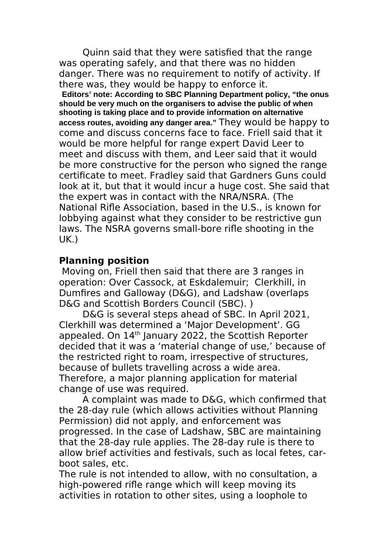Quinn said that they were satisfied that the range was operating safely, and that there was no hidden danger. There was no requirement to notify of activity. If there was, they would be happy to enforce it.

**Editors' note: According to SBC Planning Department policy, "the onus should be very much on the organisers to advise the public of when shooting is taking place and to provide information on alternative access routes, avoiding any danger area."** They would be happy to come and discuss concerns face to face. Friell said that it would be more helpful for range expert David Leer to meet and discuss with them, and Leer said that it would be more constructive for the person who signed the range certificate to meet. Fradley said that Gardners Guns could look at it, but that it would incur a huge cost. She said that the expert was in contact with the NRA/NSRA. (The National Rifle Association, based in the U.S., is known for lobbying against what they consider to be restrictive gun laws. The NSRA governs small-bore rifle shooting in the UK.)

### **Planning position**

 Moving on, Friell then said that there are 3 ranges in operation: Over Cassock, at Eskdalemuir; Clerkhill, in Dumfires and Galloway (D&G), and Ladshaw (overlaps D&G and Scottish Borders Council (SBC). )

D&G is several steps ahead of SBC. In April 2021, Clerkhill was determined a 'Major Development'. GG appealed. On 14<sup>th</sup> January 2022, the Scottish Reporter decided that it was a 'material change of use,' because of the restricted right to roam, irrespective of structures, because of bullets travelling across a wide area. Therefore, a major planning application for material change of use was required.

A complaint was made to D&G, which confirmed that the 28-day rule (which allows activities without Planning Permission) did not apply, and enforcement was progressed. In the case of Ladshaw, SBC are maintaining that the 28-day rule applies. The 28-day rule is there to allow brief activities and festivals, such as local fetes, carboot sales, etc.

The rule is not intended to allow, with no consultation, a high-powered rifle range which will keep moving its activities in rotation to other sites, using a loophole to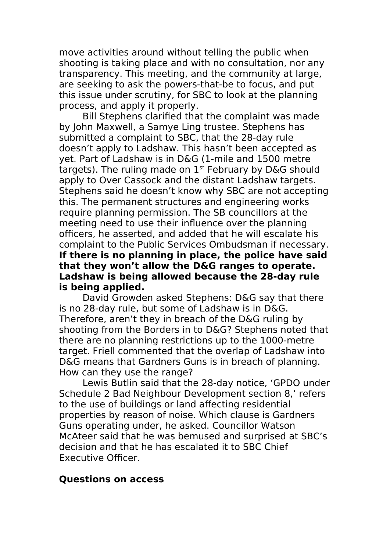move activities around without telling the public when shooting is taking place and with no consultation, nor any transparency. This meeting, and the community at large, are seeking to ask the powers-that-be to focus, and put this issue under scrutiny, for SBC to look at the planning process, and apply it properly.

Bill Stephens clarified that the complaint was made by John Maxwell, a Samye Ling trustee. Stephens has submitted a complaint to SBC, that the 28-day rule doesn't apply to Ladshaw. This hasn't been accepted as yet. Part of Ladshaw is in D&G (1-mile and 1500 metre targets). The ruling made on 1<sup>st</sup> February by D&G should apply to Over Cassock and the distant Ladshaw targets. Stephens said he doesn't know why SBC are not accepting this. The permanent structures and engineering works require planning permission. The SB councillors at the meeting need to use their influence over the planning officers, he asserted, and added that he will escalate his complaint to the Public Services Ombudsman if necessary. **If there is no planning in place, the police have said that they won't allow the D&G ranges to operate. Ladshaw is being allowed because the 28-day rule is being applied.**

David Growden asked Stephens: D&G say that there is no 28-day rule, but some of Ladshaw is in D&G. Therefore, aren't they in breach of the D&G ruling by shooting from the Borders in to D&G? Stephens noted that there are no planning restrictions up to the 1000-metre target. Friell commented that the overlap of Ladshaw into D&G means that Gardners Guns is in breach of planning. How can they use the range?

Lewis Butlin said that the 28-day notice, 'GPDO under Schedule 2 Bad Neighbour Development section 8,' refers to the use of buildings or land affecting residential properties by reason of noise. Which clause is Gardners Guns operating under, he asked. Councillor Watson McAteer said that he was bemused and surprised at SBC's decision and that he has escalated it to SBC Chief Executive Officer.

#### **Questions on access**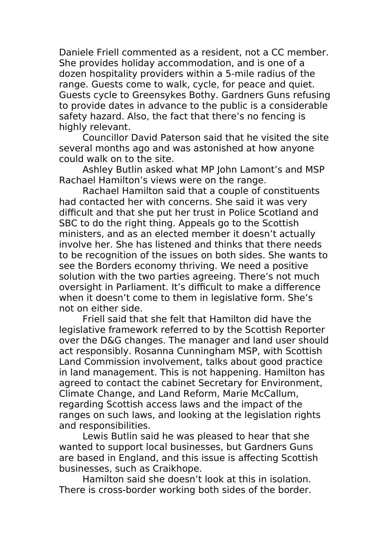Daniele Friell commented as a resident, not a CC member. She provides holiday accommodation, and is one of a dozen hospitality providers within a 5-mile radius of the range. Guests come to walk, cycle, for peace and quiet. Guests cycle to Greensykes Bothy. Gardners Guns refusing to provide dates in advance to the public is a considerable safety hazard. Also, the fact that there's no fencing is highly relevant.

Councillor David Paterson said that he visited the site several months ago and was astonished at how anyone could walk on to the site.

Ashley Butlin asked what MP John Lamont's and MSP Rachael Hamilton's views were on the range.

Rachael Hamilton said that a couple of constituents had contacted her with concerns. She said it was very difficult and that she put her trust in Police Scotland and SBC to do the right thing. Appeals go to the Scottish ministers, and as an elected member it doesn't actually involve her. She has listened and thinks that there needs to be recognition of the issues on both sides. She wants to see the Borders economy thriving. We need a positive solution with the two parties agreeing. There's not much oversight in Parliament. It's difficult to make a difference when it doesn't come to them in legislative form. She's not on either side.

Friell said that she felt that Hamilton did have the legislative framework referred to by the Scottish Reporter over the D&G changes. The manager and land user should act responsibly. Rosanna Cunningham MSP, with Scottish Land Commission involvement, talks about good practice in land management. This is not happening. Hamilton has agreed to contact the cabinet Secretary for Environment, Climate Change, and Land Reform, Marie McCallum, regarding Scottish access laws and the impact of the ranges on such laws, and looking at the legislation rights and responsibilities.

Lewis Butlin said he was pleased to hear that she wanted to support local businesses, but Gardners Guns are based in England, and this issue is affecting Scottish businesses, such as Craikhope.

Hamilton said she doesn't look at this in isolation. There is cross-border working both sides of the border.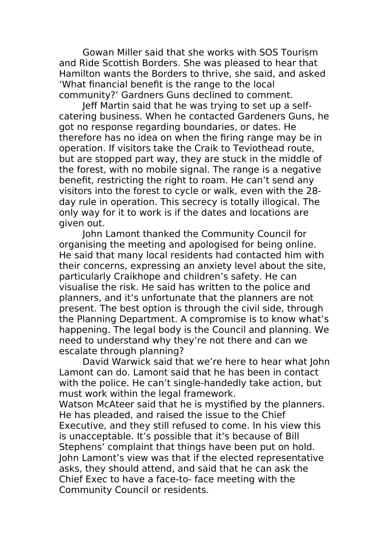Gowan Miller said that she works with SOS Tourism and Ride Scottish Borders. She was pleased to hear that Hamilton wants the Borders to thrive, she said, and asked 'What financial benefit is the range to the local community?' Gardners Guns declined to comment.

Jeff Martin said that he was trying to set up a selfcatering business. When he contacted Gardeners Guns, he got no response regarding boundaries, or dates. He therefore has no idea on when the firing range may be in operation. If visitors take the Craik to Teviothead route, but are stopped part way, they are stuck in the middle of the forest, with no mobile signal. The range is a negative benefit, restricting the right to roam. He can't send any visitors into the forest to cycle or walk, even with the 28 day rule in operation. This secrecy is totally illogical. The only way for it to work is if the dates and locations are given out.

John Lamont thanked the Community Council for organising the meeting and apologised for being online. He said that many local residents had contacted him with their concerns, expressing an anxiety level about the site, particularly Craikhope and children's safety. He can visualise the risk. He said has written to the police and planners, and it's unfortunate that the planners are not present. The best option is through the civil side, through the Planning Department. A compromise is to know what's happening. The legal body is the Council and planning. We need to understand why they're not there and can we escalate through planning?

David Warwick said that we're here to hear what John Lamont can do. Lamont said that he has been in contact with the police. He can't single-handedly take action, but must work within the legal framework.

Watson McAteer said that he is mystified by the planners. He has pleaded, and raised the issue to the Chief Executive, and they still refused to come. In his view this is unacceptable. It's possible that it's because of Bill Stephens' complaint that things have been put on hold. John Lamont's view was that if the elected representative asks, they should attend, and said that he can ask the Chief Exec to have a face-to- face meeting with the Community Council or residents.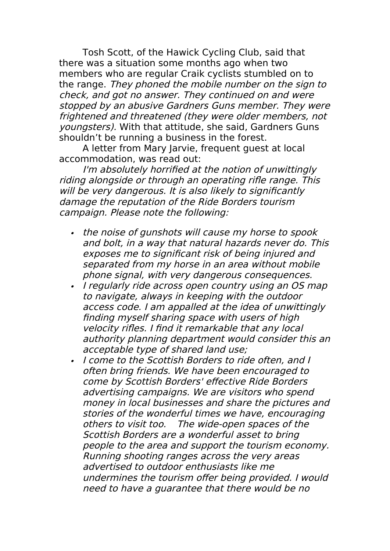Tosh Scott, of the Hawick Cycling Club, said that there was a situation some months ago when two members who are regular Craik cyclists stumbled on to the range. They phoned the mobile number on the sign to check, and got no answer. They continued on and were stopped by an abusive Gardners Guns member. They were frightened and threatened (they were older members, not youngsters). With that attitude, she said, Gardners Guns shouldn't be running a business in the forest.

A letter from Mary Jarvie, frequent guest at local accommodation, was read out:

I'm absolutely horrified at the notion of unwittingly riding alongside or through an operating rifle range. This will be very dangerous. It is also likely to significantly damage the reputation of the Ride Borders tourism campaign. Please note the following:

- $\bullet$  the noise of gunshots will cause my horse to spook and bolt, in a way that natural hazards never do. This exposes me to significant risk of being injured and separated from my horse in an area without mobile phone signal, with very dangerous consequences.
- I regularly ride across open country using an OS map to navigate, always in keeping with the outdoor access code. I am appalled at the idea of unwittingly finding myself sharing space with users of high velocity rifles. I find it remarkable that any local authority planning department would consider this an acceptable type of shared land use;
- . I come to the Scottish Borders to ride often, and I often bring friends. We have been encouraged to come by Scottish Borders' effective Ride Borders advertising campaigns. We are visitors who spend money in local businesses and share the pictures and stories of the wonderful times we have, encouraging others to visit too. The wide-open spaces of the Scottish Borders are a wonderful asset to bring people to the area and support the tourism economy. Running shooting ranges across the very areas advertised to outdoor enthusiasts like me undermines the tourism offer being provided. I would need to have a guarantee that there would be no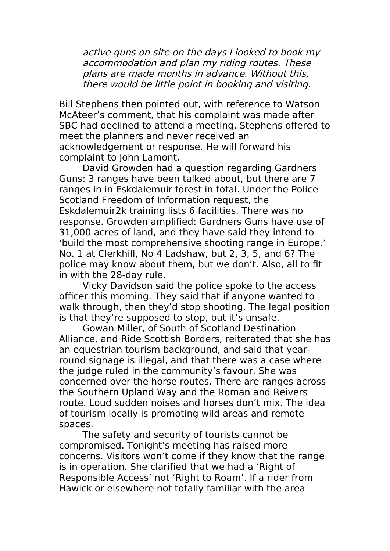active guns on site on the days I looked to book my accommodation and plan my riding routes. These plans are made months in advance. Without this, there would be little point in booking and visiting.

Bill Stephens then pointed out, with reference to Watson McAteer's comment, that his complaint was made after SBC had declined to attend a meeting. Stephens offered to meet the planners and never received an acknowledgement or response. He will forward his complaint to John Lamont.

David Growden had a question regarding Gardners Guns: 3 ranges have been talked about, but there are 7 ranges in in Eskdalemuir forest in total. Under the Police Scotland Freedom of Information request, the Eskdalemuir2k training lists 6 facilities. There was no response. Growden amplified: Gardners Guns have use of 31,000 acres of land, and they have said they intend to 'build the most comprehensive shooting range in Europe.' No. 1 at Clerkhill, No 4 Ladshaw, but 2, 3, 5, and 6? The police may know about them, but we don't. Also, all to fit in with the 28-day rule.

Vicky Davidson said the police spoke to the access officer this morning. They said that if anyone wanted to walk through, then they'd stop shooting. The legal position is that they're supposed to stop, but it's unsafe.

Gowan Miller, of South of Scotland Destination Alliance, and Ride Scottish Borders, reiterated that she has an equestrian tourism background, and said that yearround signage is illegal, and that there was a case where the judge ruled in the community's favour. She was concerned over the horse routes. There are ranges across the Southern Upland Way and the Roman and Reivers route. Loud sudden noises and horses don't mix. The idea of tourism locally is promoting wild areas and remote spaces.

The safety and security of tourists cannot be compromised. Tonight's meeting has raised more concerns. Visitors won't come if they know that the range is in operation. She clarified that we had a 'Right of Responsible Access' not 'Right to Roam'. If a rider from Hawick or elsewhere not totally familiar with the area